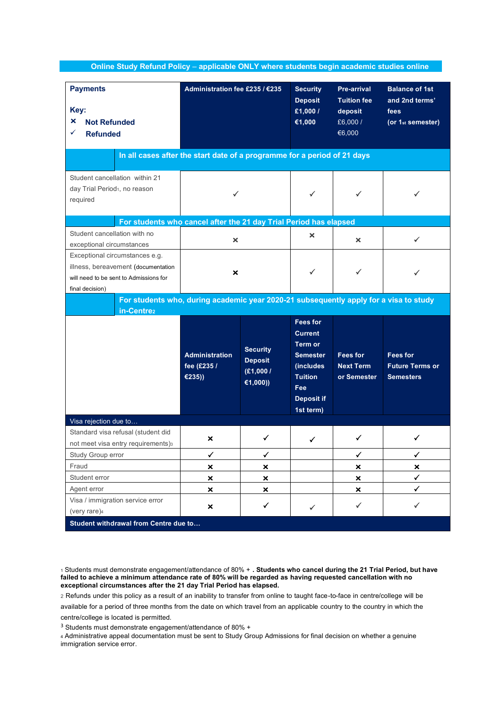| Online Study Refund Policy - applicable ONLY where students begin academic studies online                                          |                                                |                                                           |                                                                                                                                                |                                                                          |                                                                                  |  |  |  |  |
|------------------------------------------------------------------------------------------------------------------------------------|------------------------------------------------|-----------------------------------------------------------|------------------------------------------------------------------------------------------------------------------------------------------------|--------------------------------------------------------------------------|----------------------------------------------------------------------------------|--|--|--|--|
| <b>Payments</b><br>Key:<br>×<br><b>Not Refunded</b><br><b>Refunded</b>                                                             | Administration fee £235 / €235                 |                                                           | <b>Security</b><br><b>Deposit</b><br>£1,000/<br>€1,000                                                                                         | <b>Pre-arrival</b><br><b>Tuition fee</b><br>deposit<br>£6,000/<br>€6,000 | <b>Balance of 1st</b><br>and 2nd terms'<br>fees<br>(or 1 <sub>st</sub> semester) |  |  |  |  |
| In all cases after the start date of a programme for a period of 21 days                                                           |                                                |                                                           |                                                                                                                                                |                                                                          |                                                                                  |  |  |  |  |
| Student cancellation within 21<br>day Trial Period <sub>1</sub> , no reason<br>required                                            |                                                |                                                           |                                                                                                                                                |                                                                          |                                                                                  |  |  |  |  |
| For students who cancel after the 21 day Trial Period has elapsed                                                                  |                                                |                                                           |                                                                                                                                                |                                                                          |                                                                                  |  |  |  |  |
| Student cancellation with no<br>exceptional circumstances                                                                          | ×                                              |                                                           | ×                                                                                                                                              | ×                                                                        | ✓                                                                                |  |  |  |  |
| Exceptional circumstances e.g.<br>illness, bereavement (documentation<br>will need to be sent to Admissions for<br>final decision) | ×                                              |                                                           | ✓                                                                                                                                              | ✓                                                                        | ✓                                                                                |  |  |  |  |
| For students who, during academic year 2020-21 subsequently apply for a visa to study                                              |                                                |                                                           |                                                                                                                                                |                                                                          |                                                                                  |  |  |  |  |
| in-Centre <sub>2</sub>                                                                                                             | <b>Administration</b><br>fee (£235 /<br>€235)) | <b>Security</b><br><b>Deposit</b><br>(E1,000/<br>€1,000)) | <b>Fees for</b><br><b>Current</b><br><b>Term or</b><br><b>Semester</b><br>(includes<br><b>Tuition</b><br>Fee<br><b>Deposit if</b><br>1st term) | <b>Fees for</b><br><b>Next Term</b><br>or Semester                       | <b>Fees for</b><br><b>Future Terms or</b><br><b>Semesters</b>                    |  |  |  |  |
| Visa rejection due to                                                                                                              |                                                |                                                           |                                                                                                                                                |                                                                          |                                                                                  |  |  |  |  |
| Standard visa refusal (student did<br>not meet visa entry requirements)                                                            | ×                                              |                                                           | ╭                                                                                                                                              | ✓                                                                        |                                                                                  |  |  |  |  |
| Study Group error                                                                                                                  | ✓                                              | ✓                                                         |                                                                                                                                                | ✓                                                                        | ✓                                                                                |  |  |  |  |
| Fraud                                                                                                                              | $\pmb{\times}$                                 | ×                                                         |                                                                                                                                                | $\boldsymbol{\mathsf{x}}$                                                | $\pmb{\times}$                                                                   |  |  |  |  |
| Student error                                                                                                                      | ×                                              | ×                                                         |                                                                                                                                                | ×                                                                        | ✓                                                                                |  |  |  |  |
| Agent error                                                                                                                        | ×                                              | ×                                                         |                                                                                                                                                | ×                                                                        | ✓                                                                                |  |  |  |  |
| Visa / immigration service error<br>(very rare)4<br>Student withdrawal from Centre due to                                          | ×                                              | ✓                                                         | ✓                                                                                                                                              | ✓                                                                        | ✓                                                                                |  |  |  |  |

<sup>1</sup> Students must demonstrate engagement/attendance of 80% + **. Students who cancel during the 21 Trial Period, but have**  failed to achieve a minimum attendance rate of 80% will be regarded as having requested cancellation with no **exceptional circumstances after the 21 day Trial Period has elapsed.**

2 Refunds under this policy as a result of an inability to transfer from online to taught face-to-face in centre/college will be

available for a period of three months from the date on which travel from an applicable country to the country in which the centre/college is located is permitted.

<sup>3</sup> Students must demonstrate engagement/attendance of 80% +

<sup>4</sup> Administrative appeal documentation must be sent to Study Group Admissions for final decision on whether a genuine immigration service error.